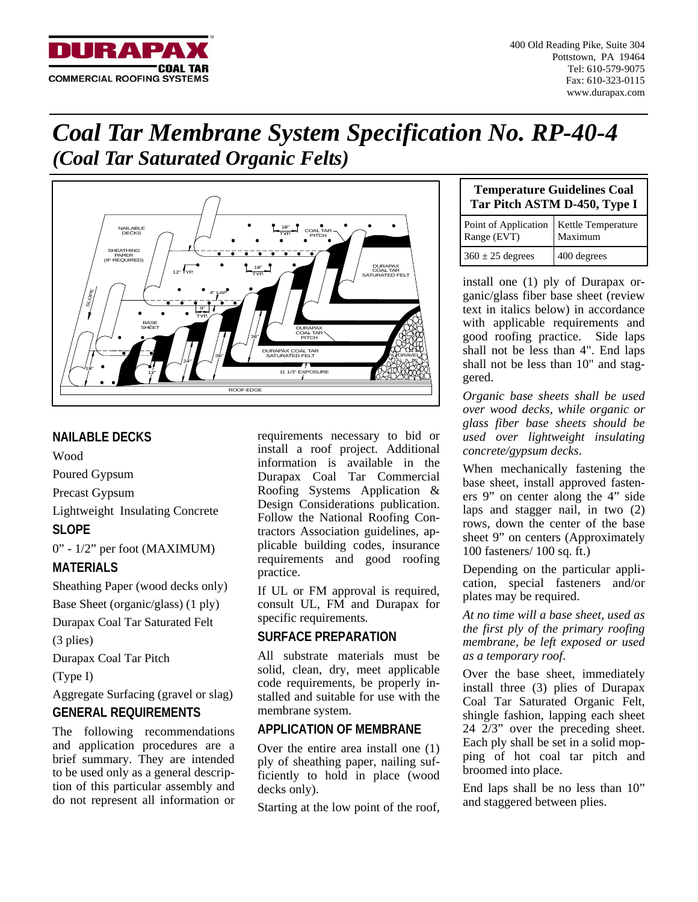

400 Old Reading Pike, Suite 304 Pottstown, PA 19464 Tel: 610-579-9075 Fax: 610-323-0115 www.durapax.com

# *Coal Tar Membrane System Specification No. RP-40-4 (Coal Tar Saturated Organic Felts)*



# **NAILABLE DECKS**

Wood

Poured Gypsum

Precast Gypsum

Lightweight Insulating Concrete

## **SLOPE**

0" - 1/2" per foot (MAXIMUM)

# **MATERIALS**

Sheathing Paper (wood decks only)

Base Sheet (organic/glass) (1 ply)

Durapax Coal Tar Saturated Felt

(3 plies)

Durapax Coal Tar Pitch

(Type I)

Aggregate Surfacing (gravel or slag) **GENERAL REQUIREMENTS** 

The following recommendations and application procedures are a brief summary. They are intended to be used only as a general description of this particular assembly and do not represent all information or

requirements necessary to bid or install a roof project. Additional information is available in the Durapax Coal Tar Commercial Roofing Systems Application & Design Considerations publication. Follow the National Roofing Contractors Association guidelines, applicable building codes, insurance requirements and good roofing practice.

If UL or FM approval is required, consult UL, FM and Durapax for specific requirements*.*

# **SURFACE PREPARATION**

All substrate materials must be solid, clean, dry, meet applicable code requirements, be properly installed and suitable for use with the membrane system.

# **APPLICATION OF MEMBRANE**

Over the entire area install one (1) ply of sheathing paper, nailing sufficiently to hold in place (wood decks only).

Starting at the low point of the roof,

| <b>Temperature Guidelines Coal</b><br>Tar Pitch ASTM D-450, Type I |             |
|--------------------------------------------------------------------|-------------|
| Point of Application Kettle Temperature<br>Range (EVT) Maximum     |             |
| $360 \pm 25$ degrees                                               | 400 degrees |

install one (1) ply of Durapax organic/glass fiber base sheet (review text in italics below) in accordance with applicable requirements and good roofing practice. Side laps shall not be less than 4". End laps shall not be less than 10" and staggered.

*Organic base sheets shall be used over wood decks, while organic or glass fiber base sheets should be used over lightweight insulating concrete/gypsum decks*.

When mechanically fastening the base sheet, install approved fasteners 9" on center along the 4" side laps and stagger nail, in two (2) rows, down the center of the base sheet 9" on centers (Approximately 100 fasteners/ 100 sq. ft.)

Depending on the particular application, special fasteners and/or plates may be required.

*At no time will a base sheet, used as the first ply of the primary roofing membrane, be left exposed or used as a temporary roof*.

Over the base sheet, immediately install three (3) plies of Durapax Coal Tar Saturated Organic Felt, shingle fashion, lapping each sheet 24 2/3" over the preceding sheet. Each ply shall be set in a solid mopping of hot coal tar pitch and broomed into place.

End laps shall be no less than 10" and staggered between plies.